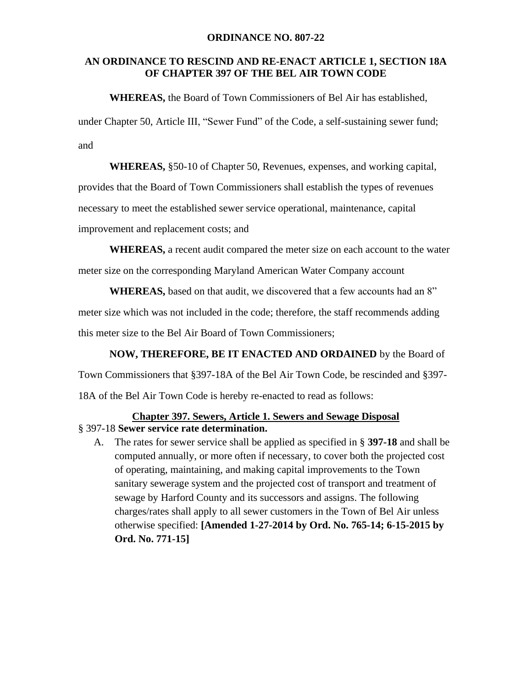#### **ORDINANCE NO. 807-22**

### **AN ORDINANCE TO RESCIND AND RE-ENACT ARTICLE 1, SECTION 18A OF CHAPTER 397 OF THE BEL AIR TOWN CODE**

**WHEREAS,** the Board of Town Commissioners of Bel Air has established, under Chapter 50, Article III, "Sewer Fund" of the Code, a self-sustaining sewer fund; and

**WHEREAS,** §50-10 of Chapter 50, Revenues, expenses, and working capital, provides that the Board of Town Commissioners shall establish the types of revenues necessary to meet the established sewer service operational, maintenance, capital improvement and replacement costs; and

**WHEREAS,** a recent audit compared the meter size on each account to the water meter size on the corresponding Maryland American Water Company account

**WHEREAS,** based on that audit, we discovered that a few accounts had an 8" meter size which was not included in the code; therefore, the staff recommends adding this meter size to the Bel Air Board of Town Commissioners;

**NOW, THEREFORE, BE IT ENACTED AND ORDAINED** by the Board of Town Commissioners that §397-18A of the Bel Air Town Code, be rescinded and §397- 18A of the Bel Air Town Code is hereby re-enacted to read as follows:

# **Chapter 397. Sewers, Article 1. Sewers and Sewage Disposal**

- § 397-18 **Sewer service rate determination.** 
	- A. The rates for sewer service shall be applied as specified in § **397-18** and shall be computed annually, or more often if necessary, to cover both the projected cost of operating, maintaining, and making capital improvements to the Town sanitary sewerage system and the projected cost of transport and treatment of sewage by Harford County and its successors and assigns. The following charges/rates shall apply to all sewer customers in the Town of Bel Air unless otherwise specified: **[Amended 1-27-2014 by Ord. No. 765-14; 6-15-2015 by Ord. No. 771-15]**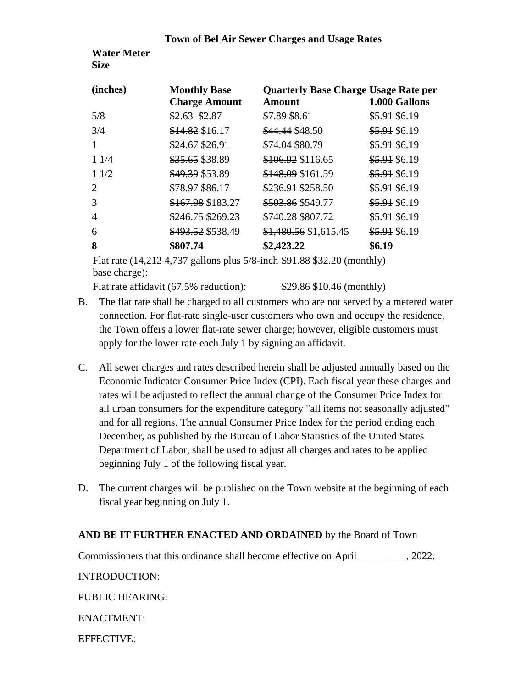#### **Town of Bel Air Sewer Charges and Usage Rates**

**Water Meter Size** 

| (inches)       | <b>Monthly Base</b><br><b>Charge Amount</b> | <b>Quarterly Base Charge Usage Rate per</b><br>Amount | 1.000 Gallons |
|----------------|---------------------------------------------|-------------------------------------------------------|---------------|
| 5/8            | $$2.63$ \$2.87                              | \$7.89 \$8.61                                         | \$5.91 \$6.19 |
| 3/4            | \$14.82 \$16.17                             | \$44.44 \$48.50                                       | \$5.91 \$6.19 |
|                | \$24.67 \$26.91                             | \$74.04 \$80.79                                       | \$5.91 \$6.19 |
| 11/4           | \$35.65 \$38.89                             | \$106.92 \$116.65                                     | \$5.91 \$6.19 |
| 11/2           | \$49.39 \$53.89                             | \$148.09 \$161.59                                     | \$5.91 \$6.19 |
| 2              | \$78.97 \$86.17                             | \$236.91 \$258.50                                     | \$5.91 \$6.19 |
| 3              | \$167.98 \$183.27                           | \$503.86 \$549.77                                     | \$5.91 \$6.19 |
| $\overline{A}$ | \$246.75 \$269.23                           | \$740.28 \$807.72                                     | \$5.91 \$6.19 |
| 6              | \$493.52 \$538.49                           | \$1,480.56 \$1,615.45                                 | \$5.91 \$6.19 |
| 8              | \$807.74                                    | \$2,423.22                                            | \$6.19        |

Flat rate (14,212 4,737 gallons plus 5/8-inch \$91.88 \$32.20 (monthly) base charge):

Flat rate affidavit (67.5% reduction):  $\frac{$29.86}{$10.46}$  (monthly)

- B. The flat rate shall be charged to all customers who are not served by a metered water connection. For flat-rate single-user customers who own and occupy the residence, the Town offers a lower flat-rate sewer charge; however, eligible customers must apply for the lower rate each July 1 by signing an affidavit.
- C. All sewer charges and rates described herein shall be adjusted annually based on the Economic Indicator Consumer Price Index (CPI). Each fiscal year these charges and rates will be adjusted to reflect the annual change of the Consumer Price Index for all urban consumers for the expenditure category "all items not seasonally adjusted" and for all regions. The annual Consumer Price Index for the period ending each December, as published by the Bureau of Labor Statistics of the United States Department of Labor, shall be used to adjust all charges and rates to be applied beginning July 1 of the following fiscal year.
- D. The current charges will be published on the Town website at the beginning of each fiscal year beginning on July 1.

# **AND BE IT FURTHER ENACTED AND ORDAINED** by the Board of Town

Commissioners that this ordinance shall become effective on April \_\_\_\_\_\_\_\_\_, 2022. INTRODUCTION: PUBLIC HEARING: ENACTMENT:

EFFECTIVE: